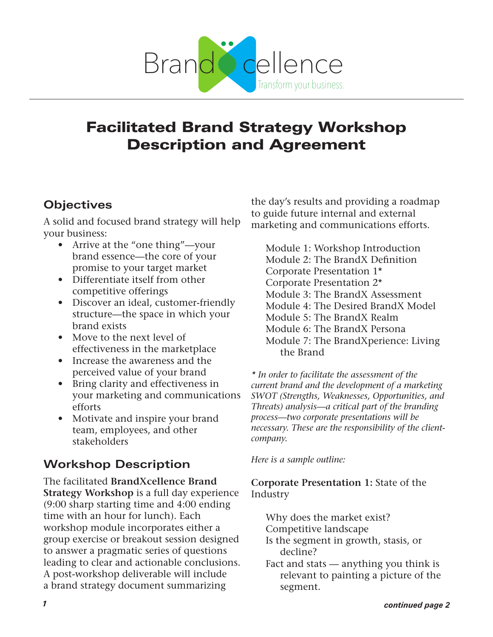

# Facilitated Brand Strategy Workshop Description and Agreement

### **Objectives**

A solid and focused brand strategy will help your business:

- Arrive at the "one thing"—your brand essence—the core of your promise to your target market
- Differentiate itself from other competitive offerings
- Discover an ideal, customer-friendly structure—the space in which your brand exists
- Move to the next level of effectiveness in the marketplace
- Increase the awareness and the perceived value of your brand
- Bring clarity and effectiveness in your marketing and communications efforts
- Motivate and inspire your brand team, employees, and other stakeholders

## **Workshop Description**

The facilitated **BrandXcellence Brand Strategy Workshop** is a full day experience (9:00 sharp starting time and 4:00 ending time with an hour for lunch). Each workshop module incorporates either a group exercise or breakout session designed to answer a pragmatic series of questions leading to clear and actionable conclusions. A post-workshop deliverable will include a brand strategy document summarizing

the day's results and providing a roadmap to guide future internal and external marketing and communications efforts.

Module 1: Workshop Introduction Module 2: The BrandX Definition Corporate Presentation 1\* Corporate Presentation 2\* Module 3: The BrandX Assessment Module 4: The Desired BrandX Model Module 5: The BrandX Realm Module 6: The BrandX Persona Module 7: The BrandXperience: Living the Brand

*\* In order to facilitate the assessment of the current brand and the development of a marketing SWOT (Strengths, Weaknesses, Opportunities, and Threats) analysis—a critical part of the branding process—two corporate presentations will be necessary. These are the responsibility of the clientcompany.* 

*Here is a sample outline:*

**Corporate Presentation 1:** State of the Industry

Why does the market exist?

Competitive landscape

- Is the segment in growth, stasis, or decline?
- Fact and stats anything you think is relevant to painting a picture of the segment.